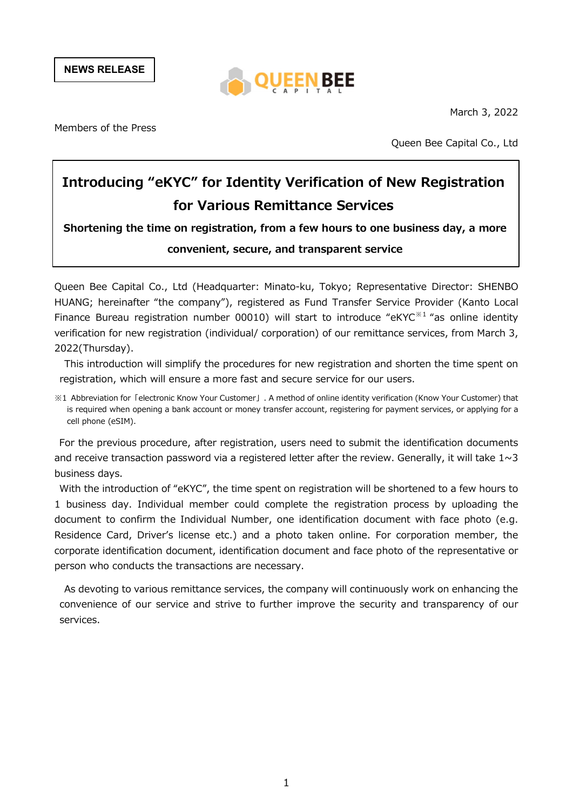NEWS RELEASE



March 3, 2022

Members of the Press

Queen Bee Capital Co., Ltd

# Introducing "eKYC" for Identity Verification of New Registration for Various Remittance Services

Shortening the time on registration, from a few hours to one business day, a more convenient, secure, and transparent service

Queen Bee Capital Co., Ltd (Headquarter: Minato-ku, Tokyo; Representative Director: SHENBO HUANG; hereinafter "the company"), registered as Fund Transfer Service Provider (Kanto Local Finance Bureau registration number 00010) will start to introduce "eKYC<sup> $\frac{1}{x}$ " as online identity</sup> verification for new registration (individual/ corporation) of our remittance services, from March 3, 2022(Thursday).

This introduction will simplify the procedures for new registration and shorten the time spent on registration, which will ensure a more fast and secure service for our users.

※1 Abbreviation for「electronic Know Your Customer」. A method of online identity verification (Know Your Customer) that is required when opening a bank account or money transfer account, registering for payment services, or applying for a cell phone (eSIM).

For the previous procedure, after registration, users need to submit the identification documents and receive transaction password via a registered letter after the review. Generally, it will take  $1 \sim 3$ business days.

With the introduction of "eKYC", the time spent on registration will be shortened to a few hours to 1 business day. Individual member could complete the registration process by uploading the document to confirm the Individual Number, one identification document with face photo (e.g. Residence Card, Driver's license etc.) and a photo taken online. For corporation member, the corporate identification document, identification document and face photo of the representative or person who conducts the transactions are necessary.

As devoting to various remittance services, the company will continuously work on enhancing the convenience of our service and strive to further improve the security and transparency of our services.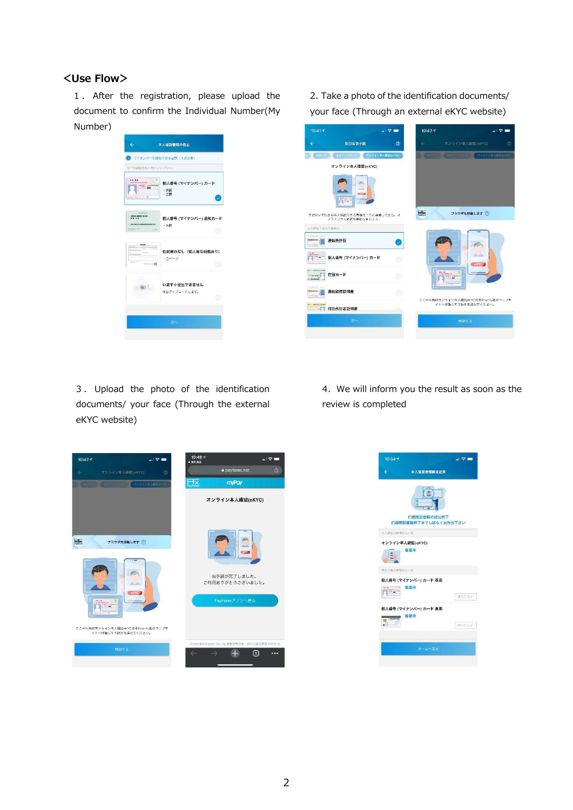#### <Use Flow>

1 . After the registration, please upload the document to confirm the Individual Number(My Number)



2.Take a photo of the identification documents/ your face (Through an external eKYC website)



3 . Upload the photo of the identification documents/ your face (Through the external eKYC website)

4.We will inform you the result as soon as the review is completed